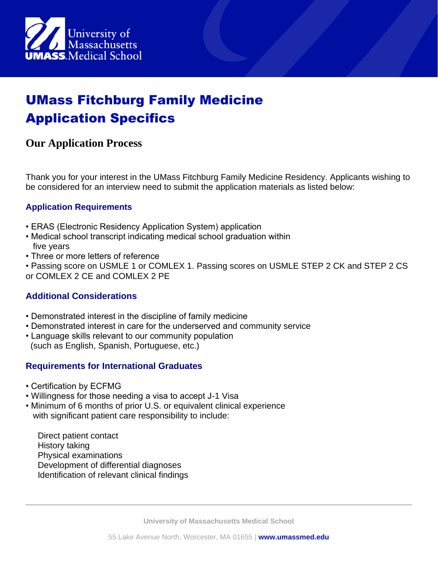

# UMass Fitchburg Family Medicine Application Specifics

## **Our Application Process**

Thank you for your interest in the UMass Fitchburg Family Medicine Residency. Applicants wishing to be considered for an interview need to submit the application materials as listed below:

### **Application Requirements**

- ERAS (Electronic Residency Application System) application
- Medical school transcript indicating medical school graduation within five years
- Three or more letters of reference

• Passing score on USMLE 1 or COMLEX 1. Passing scores on USMLE STEP 2 CK and STEP 2 CS or COMLEX 2 CE and COMLEX 2 PE

### **Additional Considerations**

- Demonstrated interest in the discipline of family medicine
- Demonstrated interest in care for the underserved and community service
- Language skills relevant to our community population (such as English, Spanish, Portuguese, etc.)

### **Requirements for International Graduates**

- Certification by ECFMG
- Willingness for those needing a visa to accept J-1 Visa
- Minimum of 6 months of prior U.S. or equivalent clinical experience with significant patient care responsibility to include:

Direct patient contact History taking Physical examinations Development of differential diagnoses Identification of relevant clinical findings

**University of Massachusetts Medical School**